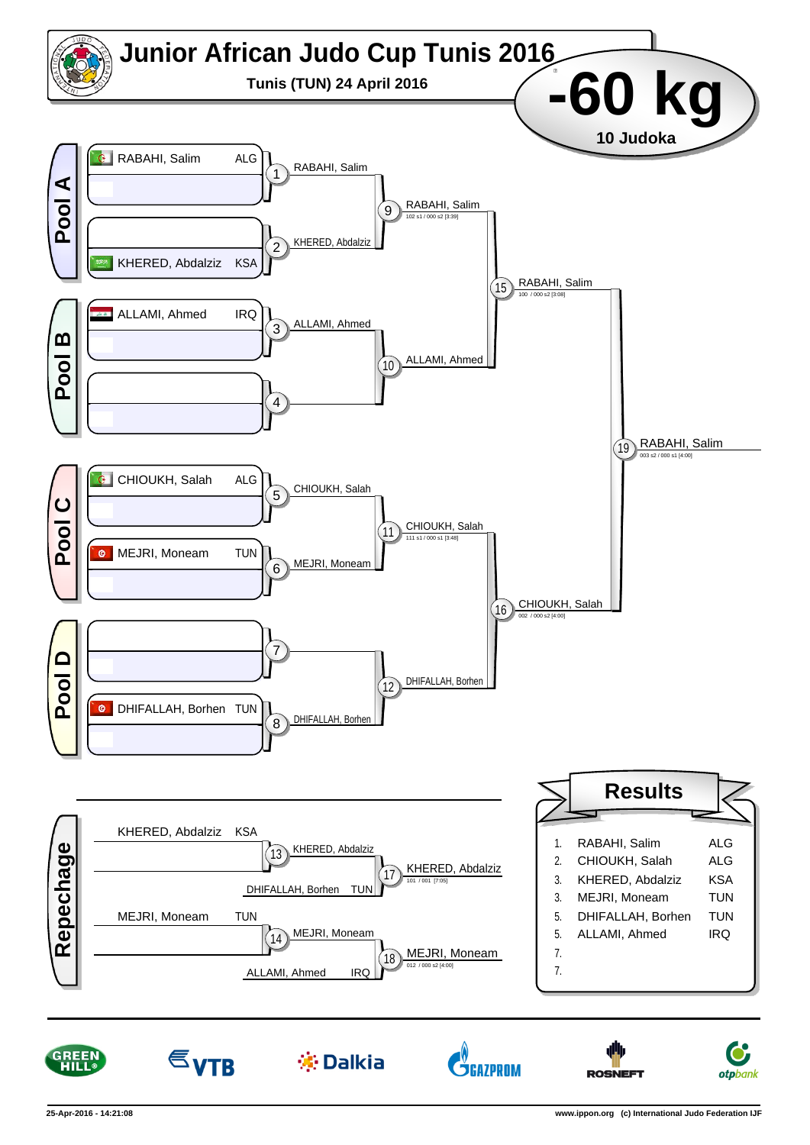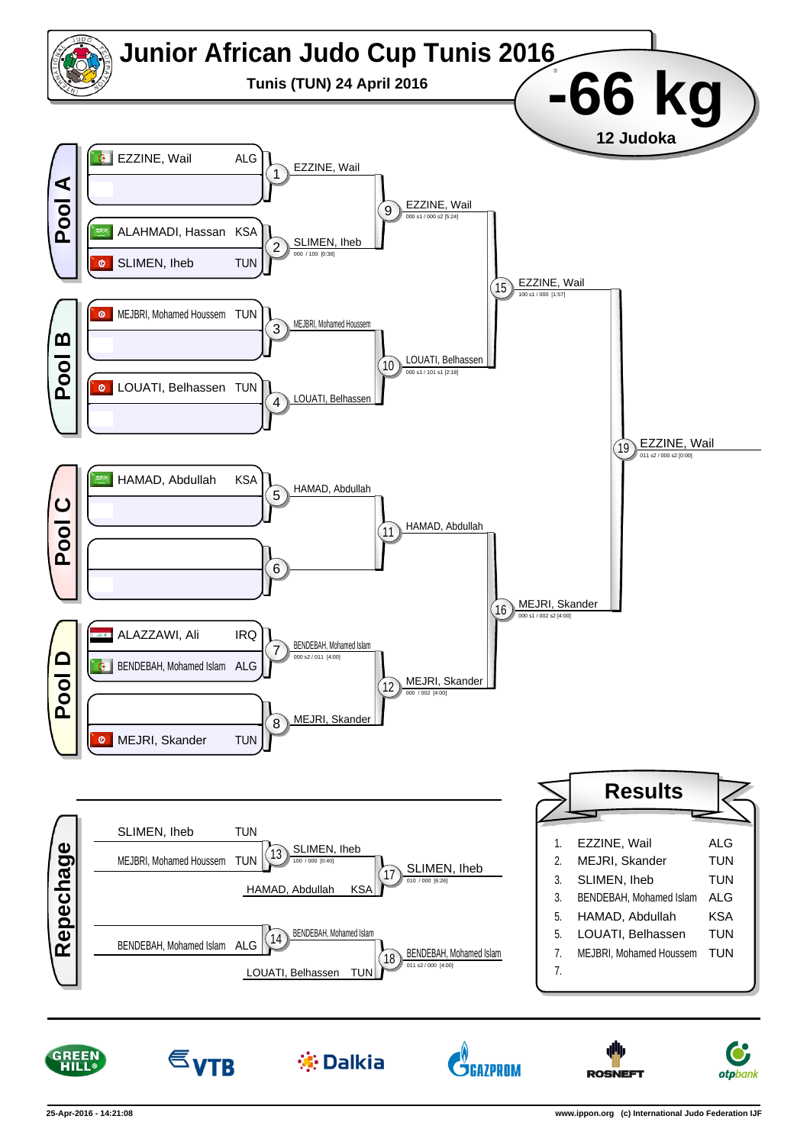



 $\varepsilon_{VTB}$ 

※ Dalkia

**ŠGAZPROM** 

**ROSNEFT** 

**otp**bank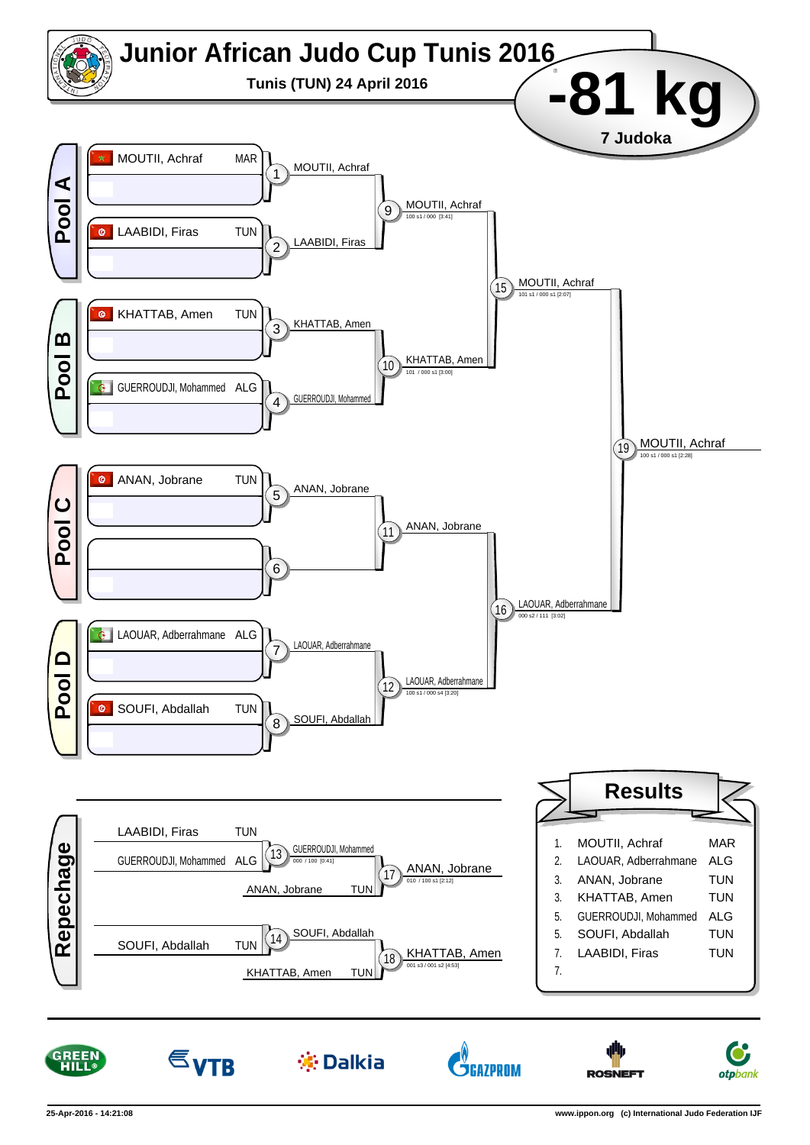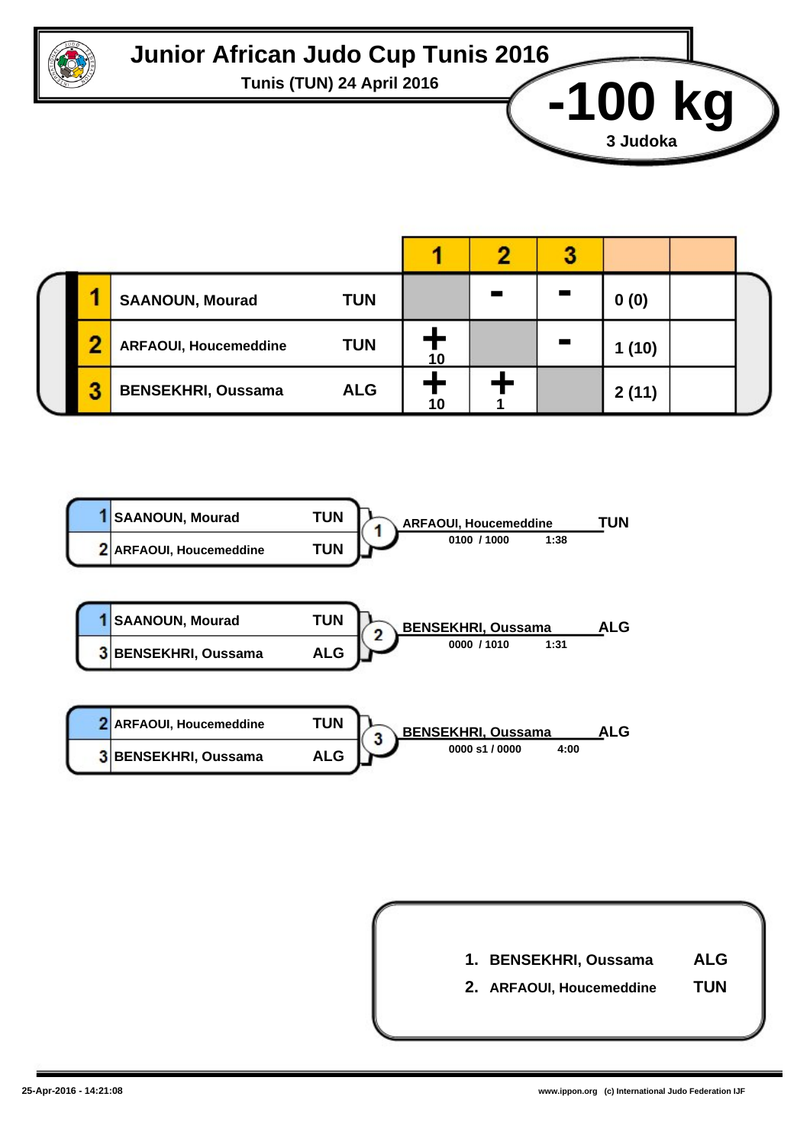

## **Junior African Judo Cup Tunis 2016**

**Tunis (TUN) 24 April 2016 -100 kg**

|   | <b>TUN</b><br><b>SAANOUN, Mourad</b>       |    |  | 0(0)  |  |
|---|--------------------------------------------|----|--|-------|--|
| n | <b>TUN</b><br><b>ARFAOUI, Houcemeddine</b> | 10 |  | (10)  |  |
|   | <b>ALG</b><br><b>BENSEKHRI, Oussama</b>    |    |  | 2(11) |  |





**3 Judoka**